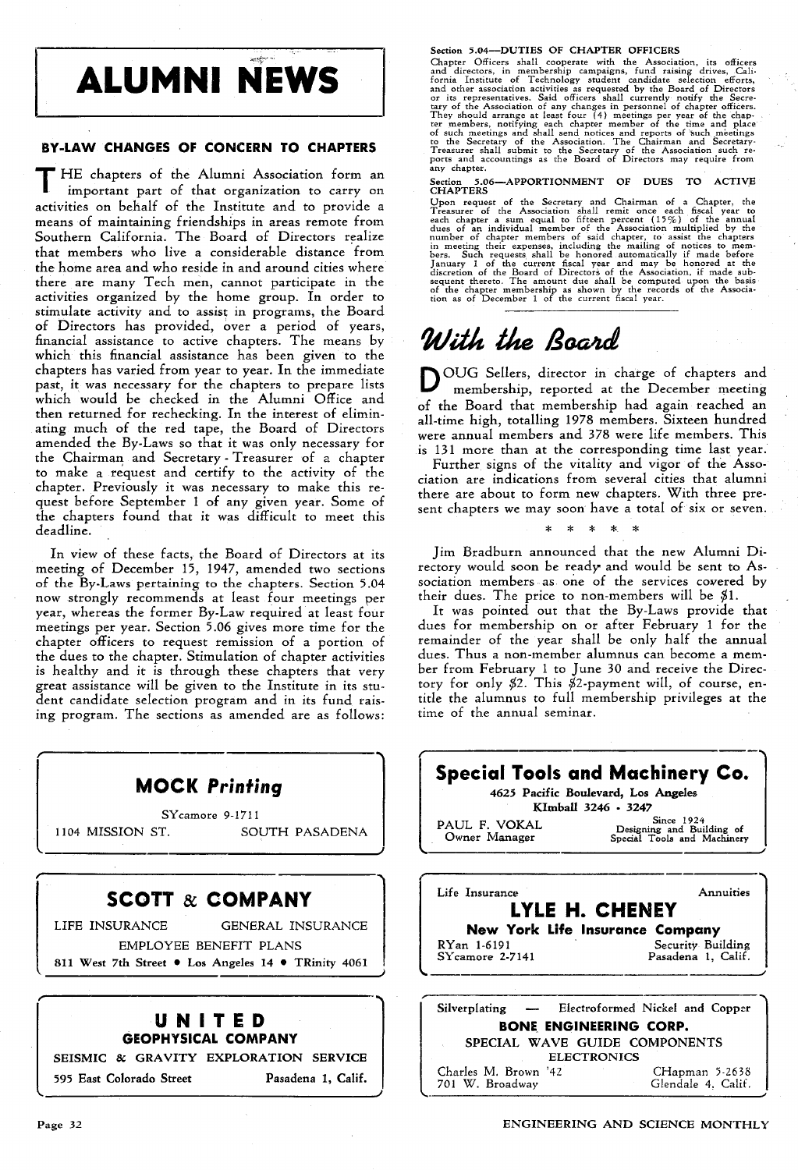# **ALUMNI NEWS**

#### BY·LAW CHANGES OF CONCERN TO CHAPTERS

HE chapters of the Alumni Association form an important part of that organization to carry on activities on behalf of the Institute and to provide a means of maintaining friendships in areas remote from Southern California. The Board of Directors realize that members who live a considerable distance from the home area and who reside in and around cities where there are many Tech men, cannot participate in the activities organized by the home group. In order to stimulate activity and to assist in programs, the Board of Directors has provided, over a period of years, financial assistance to active chapters. The means by which this financial assistance has been given to the chapters has varied from year to year. In the immediate past, it was necessary for the chapters to prepare lists which would be checked in the Alumni Office and then returned for rechecking. In the interest of eliminating much of the red tape, the Board of Directors amended the By-Laws so that it was only necessary for the Chairman, and Secretary - Treasurer of a chapter to make a request and certify to the activity of the chapter. Previously it was necessary to make this request before September 1 of any given year. Some of the chapters found that it was difficult to meet this deadline.

In view of these facts, the Board of Directors at its meeting of December 15, 1947, amended two sections of the By-Laws pertaining to the chapters. Section 5.04 now strongly recommends at least four meetings per year, whereas the former By-Law required at least four meetings per year. Section 5.06 gives more time for the chapter officers to request remission of a portion of the dues to the chapter. Stimulation of chapter activities is healthy and it is through these chapters that very great assistance will be given to the Institute in its student candidate selection program and in its fund raising program. The sections as amended are as follows:

| <b>MOCK Printing</b>                                | <b>Spe</b>              |
|-----------------------------------------------------|-------------------------|
| SYcamore 9-1711                                     |                         |
| 1104 MISSION ST.<br>SOUTH PASADENA                  | PAUL<br>Own             |
|                                                     |                         |
| <b>SCOTT &amp; COMPANY</b>                          | Life I                  |
| LIFE INSURANCE GENERAL INSURANCE                    |                         |
| EMPLOYEE BENEFIT PLANS                              | <b>RYan</b><br>$SY$ car |
| 811 West 7th Street • Los Angeles 14 • TRinity 4061 |                         |
| UNITED                                              | Silver                  |
| <b>GEOPHYSICAL COMPANY</b>                          | S                       |
| SEISMIC & GRAVITY EXPLORATION SERVICE               |                         |
| 595 East Colorado Street<br>Pasadena 1, Calif.      | Charle<br>701 V         |

Section 5.04—DUTIES OF CHAPTER OFFICERS<br>Chapter Officers shall cooperate with the Association, its officers<br>and directors, in membership campaigns, fund raising drives, Cali-<br>fornia Institute of Technology student candidat

Section 5.06—APPORTIONMENT OF DUES TO ACTIVE CHAPTERS

CHAPTERS<br>
CHAPTERS<br>
Choon request of the Secretary and Chairman of a Chapter, the<br>
Upon request of the Association shall remit once each fiscal year to<br>
each chapter a sum equal to fifteen percent (15%) of the annual<br>
dues

## With the Board

OUG Sellers, director in charge of chapters and membership, reported at the December meeting of the Board that membership had again reached an all-time high, totalling 1978 members. Sixteen hundred were annual members and 378 were life members. This is 131 more than at the corresponding time last year.

Further signs of the vitality and vigor of the Association are indications from several cities that alumni there are about to form new chapters. With three present chapters we may soon have a total of six or seven.

\* \* \* \* \*

Jim Bradburn announced that the new Alumni Directory would soon be ready and would be sent to Association members as one of the services cowered by their dues. The price to non-members will be \$1.

It was pointed out that the By-Laws provide that dues for membership on or after February 1 for the remainder of the year shall be only half the annual dues. Thus a non-member alumnus can become a member from February 1 to June 30 and receive the Directory for only \$2. This \$2-payment will, of course, entitle the alumnus to full membership privileges at the time of the annual seminar.